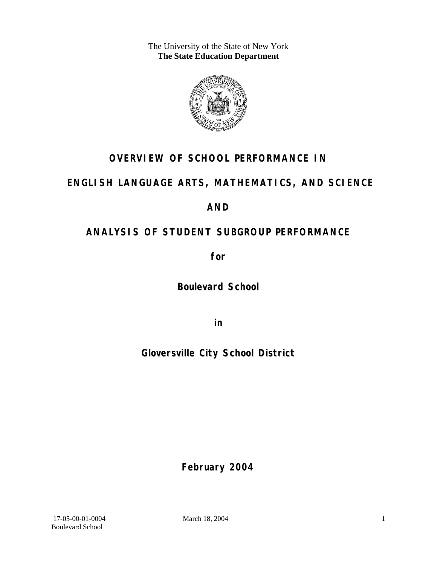The University of the State of New York **The State Education Department** 



## **OVERVIEW OF SCHOOL PERFORMANCE IN**

### **ENGLISH LANGUAGE ARTS, MATHEMATICS, AND SCIENCE**

### **AND**

## **ANALYSIS OF STUDENT SUBGROUP PERFORMANCE**

**for** 

**Boulevard School**

**in** 

## **Gloversville City School District**

**February 2004**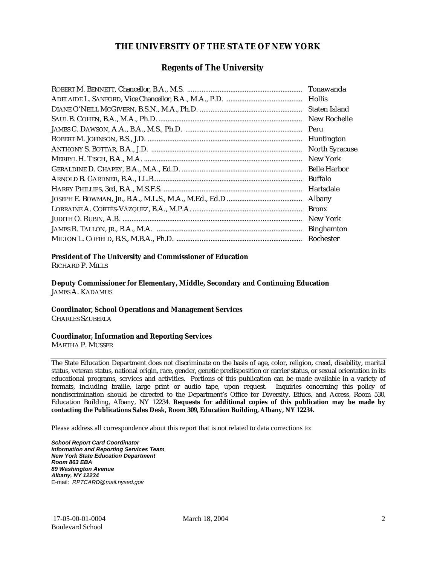#### **THE UNIVERSITY OF THE STATE OF NEW YORK**

#### **Regents of The University**

| Tonawanda             |
|-----------------------|
| <b>Hollis</b>         |
| Staten Island         |
| New Rochelle          |
| Peru                  |
| Huntington            |
| <b>North Syracuse</b> |
| New York              |
| <b>Belle Harbor</b>   |
| <b>Buffalo</b>        |
| Hartsdale             |
| Albany                |
| <b>Bronx</b>          |
| New York              |
| <b>Binghamton</b>     |
| Rochester             |

#### **President of The University and Commissioner of Education**

RICHARD P. MILLS

**Deputy Commissioner for Elementary, Middle, Secondary and Continuing Education**  JAMES A. KADAMUS

#### **Coordinator, School Operations and Management Services**

CHARLES SZUBERLA

#### **Coordinator, Information and Reporting Services**

MARTHA P. MUSSER

The State Education Department does not discriminate on the basis of age, color, religion, creed, disability, marital status, veteran status, national origin, race, gender, genetic predisposition or carrier status, or sexual orientation in its educational programs, services and activities. Portions of this publication can be made available in a variety of formats, including braille, large print or audio tape, upon request. Inquiries concerning this policy of nondiscrimination should be directed to the Department's Office for Diversity, Ethics, and Access, Room 530, Education Building, Albany, NY 12234. **Requests for additional copies of this publication may be made by contacting the Publications Sales Desk, Room 309, Education Building, Albany, NY 12234.** 

Please address all correspondence about this report that is not related to data corrections to:

*School Report Card Coordinator Information and Reporting Services Team New York State Education Department Room 863 EBA 89 Washington Avenue Albany, NY 12234*  E-mail: *RPTCARD@mail.nysed.gov*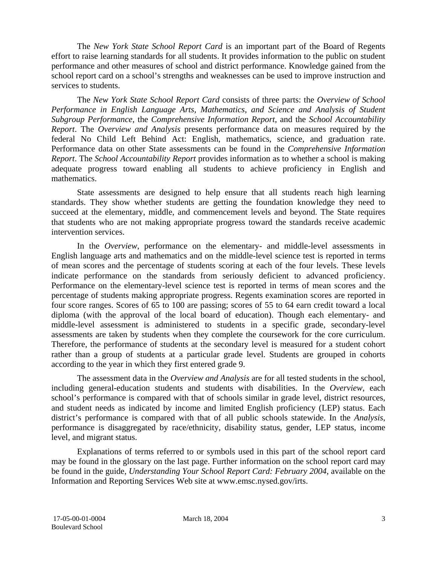The *New York State School Report Card* is an important part of the Board of Regents effort to raise learning standards for all students. It provides information to the public on student performance and other measures of school and district performance. Knowledge gained from the school report card on a school's strengths and weaknesses can be used to improve instruction and services to students.

The *New York State School Report Card* consists of three parts: the *Overview of School Performance in English Language Arts, Mathematics, and Science and Analysis of Student Subgroup Performance,* the *Comprehensive Information Report,* and the *School Accountability Report*. The *Overview and Analysis* presents performance data on measures required by the federal No Child Left Behind Act: English, mathematics, science, and graduation rate. Performance data on other State assessments can be found in the *Comprehensive Information Report*. The *School Accountability Report* provides information as to whether a school is making adequate progress toward enabling all students to achieve proficiency in English and mathematics.

State assessments are designed to help ensure that all students reach high learning standards. They show whether students are getting the foundation knowledge they need to succeed at the elementary, middle, and commencement levels and beyond. The State requires that students who are not making appropriate progress toward the standards receive academic intervention services.

In the *Overview*, performance on the elementary- and middle-level assessments in English language arts and mathematics and on the middle-level science test is reported in terms of mean scores and the percentage of students scoring at each of the four levels. These levels indicate performance on the standards from seriously deficient to advanced proficiency. Performance on the elementary-level science test is reported in terms of mean scores and the percentage of students making appropriate progress. Regents examination scores are reported in four score ranges. Scores of 65 to 100 are passing; scores of 55 to 64 earn credit toward a local diploma (with the approval of the local board of education). Though each elementary- and middle-level assessment is administered to students in a specific grade, secondary-level assessments are taken by students when they complete the coursework for the core curriculum. Therefore, the performance of students at the secondary level is measured for a student cohort rather than a group of students at a particular grade level. Students are grouped in cohorts according to the year in which they first entered grade 9.

The assessment data in the *Overview and Analysis* are for all tested students in the school, including general-education students and students with disabilities. In the *Overview*, each school's performance is compared with that of schools similar in grade level, district resources, and student needs as indicated by income and limited English proficiency (LEP) status. Each district's performance is compared with that of all public schools statewide. In the *Analysis*, performance is disaggregated by race/ethnicity, disability status, gender, LEP status, income level, and migrant status.

Explanations of terms referred to or symbols used in this part of the school report card may be found in the glossary on the last page. Further information on the school report card may be found in the guide, *Understanding Your School Report Card: February 2004*, available on the Information and Reporting Services Web site at www.emsc.nysed.gov/irts.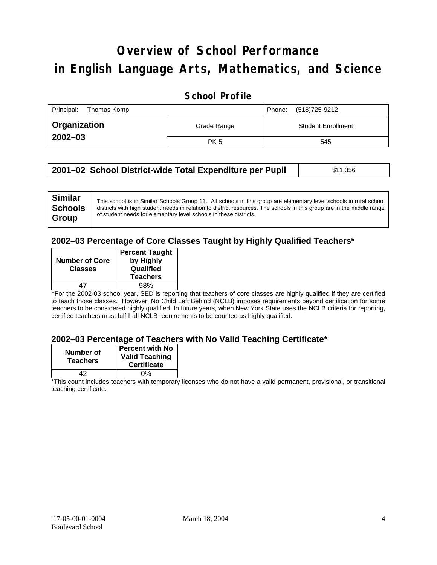# **Overview of School Performance in English Language Arts, Mathematics, and Science**

### **School Profile**

| Principal:<br>Thomas Komp |             | (518)725-9212<br>Phone:   |
|---------------------------|-------------|---------------------------|
| <b>Organization</b>       | Grade Range | <b>Student Enrollment</b> |
| $2002 - 03$               | <b>PK-5</b> | 545                       |

| 2001–02 School District-wide Total Expenditure per Pupil | \$11,356 |
|----------------------------------------------------------|----------|
|----------------------------------------------------------|----------|

#### **2002–03 Percentage of Core Classes Taught by Highly Qualified Teachers\***

| <b>Number of Core</b><br><b>Classes</b> | <b>Percent Taught</b><br>by Highly<br>Qualified<br><b>Teachers</b> |
|-----------------------------------------|--------------------------------------------------------------------|
|                                         |                                                                    |
|                                         | 98%                                                                |
|                                         |                                                                    |

\*For the 2002-03 school year, SED is reporting that teachers of core classes are highly qualified if they are certified to teach those classes. However, No Child Left Behind (NCLB) imposes requirements beyond certification for some teachers to be considered highly qualified. In future years, when New York State uses the NCLB criteria for reporting, certified teachers must fulfill all NCLB requirements to be counted as highly qualified.

#### **2002–03 Percentage of Teachers with No Valid Teaching Certificate\***

| Number of<br><b>Teachers</b> | <b>Percent with No</b><br><b>Valid Teaching</b><br><b>Certificate</b> |
|------------------------------|-----------------------------------------------------------------------|
| ィウ                           | ሰ%                                                                    |

\*This count includes teachers with temporary licenses who do not have a valid permanent, provisional, or transitional teaching certificate.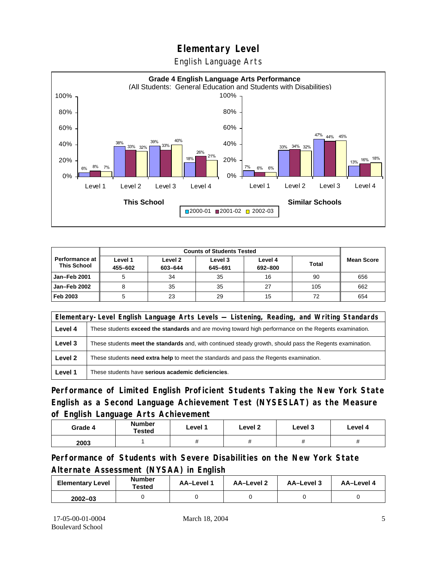English Language Arts



|                                             |                    | <b>Counts of Students Tested</b> |                    |                    |       |                   |
|---------------------------------------------|--------------------|----------------------------------|--------------------|--------------------|-------|-------------------|
| <b>Performance at</b><br><b>This School</b> | Level 1<br>455-602 | Level 2<br>603-644               | Level 3<br>645-691 | Level 4<br>692-800 | Total | <b>Mean Score</b> |
| Jan-Feb 2001                                | э                  | 34                               | 35                 | 16                 | 90    | 656               |
| Jan-Feb 2002                                | 8                  | 35                               | 35                 | 27                 | 105   | 662               |
| Feb 2003                                    | 5                  | 23                               | 29                 | 15                 | 72    | 654               |

| Elementary-Level English Language Arts Levels — Listening, Reading, and Writing Standards |                                                                                                           |  |  |  |
|-------------------------------------------------------------------------------------------|-----------------------------------------------------------------------------------------------------------|--|--|--|
| Level 4                                                                                   | These students exceed the standards and are moving toward high performance on the Regents examination.    |  |  |  |
| Level 3                                                                                   | These students meet the standards and, with continued steady growth, should pass the Regents examination. |  |  |  |
| Level 2                                                                                   | These students <b>need extra help</b> to meet the standards and pass the Regents examination.             |  |  |  |
| Level 1                                                                                   | These students have serious academic deficiencies.                                                        |  |  |  |

**Performance of Limited English Proficient Students Taking the New York State English as a Second Language Achievement Test (NYSESLAT) as the Measure of English Language Arts Achievement**

| Grade 4 | <b>Number</b><br>Tested | Level 1           | Level 2 | Level 3  | Level 4  |
|---------|-------------------------|-------------------|---------|----------|----------|
| 2003    |                         | $^{\prime\prime}$ | π       | $^{\pi}$ | $^{\pi}$ |

**Performance of Students with Severe Disabilities on the New York State Alternate Assessment (NYSAA) in English** 

| <b>Elementary Level</b> | <b>Number</b><br>Tested | AA-Level 1 | AA-Level 2 | AA-Level 3 | AA-Level 4 |
|-------------------------|-------------------------|------------|------------|------------|------------|
| $2002 - 03$             |                         |            |            |            |            |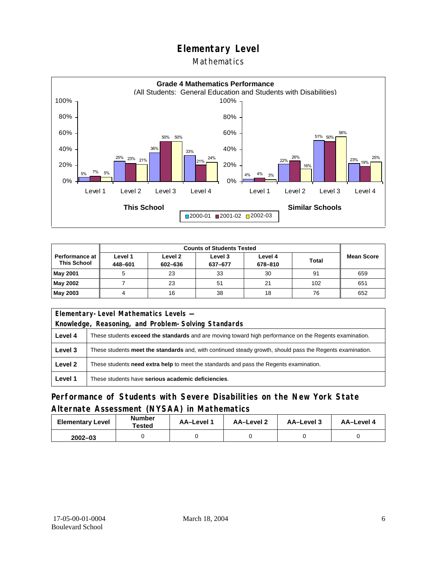### Mathematics



|                                               | <b>Counts of Students Tested</b> |                    |                    |                    |              |                   |
|-----------------------------------------------|----------------------------------|--------------------|--------------------|--------------------|--------------|-------------------|
| <b>Performance at I</b><br><b>This School</b> | Level 1<br>448-601               | Level 2<br>602-636 | Level 3<br>637-677 | Level 4<br>678-810 | <b>Total</b> | <b>Mean Score</b> |
| <b>May 2001</b>                               |                                  | 23                 | 33                 | 30                 | 91           | 659               |
| May 2002                                      |                                  | 23                 | 51                 | 21                 | 102          | 651               |
| May 2003                                      |                                  | 16                 | 38                 | 18                 | 76           | 652               |

|         | Elementary-Level Mathematics Levels -                                                                         |  |  |  |
|---------|---------------------------------------------------------------------------------------------------------------|--|--|--|
|         | Knowledge, Reasoning, and Problem-Solving Standards                                                           |  |  |  |
| Level 4 | These students <b>exceed the standards</b> and are moving toward high performance on the Regents examination. |  |  |  |
| Level 3 | These students meet the standards and, with continued steady growth, should pass the Regents examination.     |  |  |  |
| Level 2 | These students need extra help to meet the standards and pass the Regents examination.                        |  |  |  |
| Level 1 | These students have serious academic deficiencies.                                                            |  |  |  |

### **Performance of Students with Severe Disabilities on the New York State Alternate Assessment (NYSAA) in Mathematics**

| <b>Elementary Level</b> | <b>Number</b><br>Tested | AA-Level 1 | AA-Level 2 | AA-Level 3 | AA-Level 4 |  |
|-------------------------|-------------------------|------------|------------|------------|------------|--|
| $2002 - 03$             |                         |            |            |            |            |  |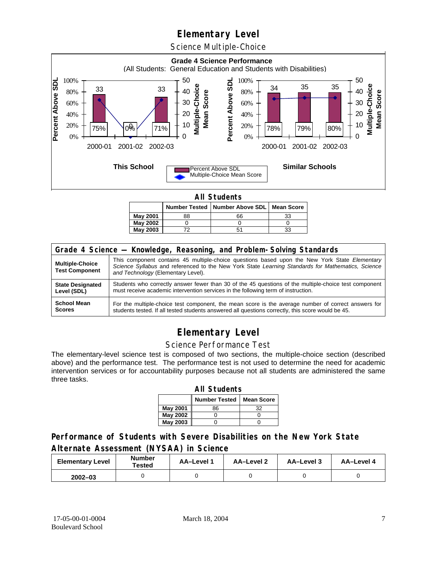Science Multiple-Choice



**All Students** 

|          |    | Number Tested   Number Above SDL   Mean Score |    |
|----------|----|-----------------------------------------------|----|
| May 2001 | 88 | 66                                            | 33 |
| May 2002 |    |                                               |    |
| May 2003 |    |                                               | 33 |

| Grade 4 Science - Knowledge, Reasoning, and Problem-Solving Standards |                                                                                                                                                                                                                                          |  |  |  |  |  |
|-----------------------------------------------------------------------|------------------------------------------------------------------------------------------------------------------------------------------------------------------------------------------------------------------------------------------|--|--|--|--|--|
| <b>Multiple-Choice</b><br><b>Test Component</b>                       | This component contains 45 multiple-choice questions based upon the New York State Elementary<br>Science Syllabus and referenced to the New York State Learning Standards for Mathematics, Science<br>and Technology (Elementary Level). |  |  |  |  |  |
| <b>State Designated</b>                                               | Students who correctly answer fewer than 30 of the 45 questions of the multiple-choice test component                                                                                                                                    |  |  |  |  |  |
| Level (SDL)                                                           | must receive academic intervention services in the following term of instruction.                                                                                                                                                        |  |  |  |  |  |
| <b>School Mean</b>                                                    | For the multiple-choice test component, the mean score is the average number of correct answers for                                                                                                                                      |  |  |  |  |  |
| <b>Scores</b>                                                         | students tested. If all tested students answered all questions correctly, this score would be 45.                                                                                                                                        |  |  |  |  |  |

## **Elementary Level**

#### Science Performance Test

The elementary-level science test is composed of two sections, the multiple-choice section (described above) and the performance test. The performance test is not used to determine the need for academic intervention services or for accountability purposes because not all students are administered the same three tasks.

| <b>All Students</b>                       |    |    |  |  |  |  |  |  |  |
|-------------------------------------------|----|----|--|--|--|--|--|--|--|
| <b>Number Tested</b><br><b>Mean Score</b> |    |    |  |  |  |  |  |  |  |
| <b>May 2001</b>                           | 86 | 32 |  |  |  |  |  |  |  |
| May 2002                                  |    |    |  |  |  |  |  |  |  |
| <b>May 2003</b>                           |    |    |  |  |  |  |  |  |  |

### **Performance of Students with Severe Disabilities on the New York State Alternate Assessment (NYSAA) in Science**

| <b>Elementary Level</b> | <b>Number</b><br>Tested | <b>AA-Level 1</b> | AA-Level 2 | AA-Level 3 | AA-Level 4 |  |
|-------------------------|-------------------------|-------------------|------------|------------|------------|--|
| $2002 - 03$             |                         |                   |            |            |            |  |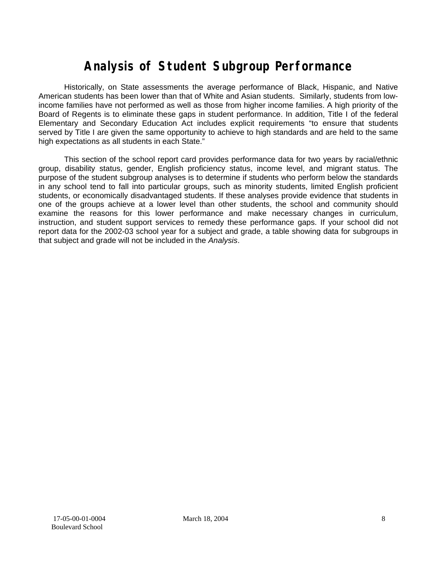# **Analysis of Student Subgroup Performance**

Historically, on State assessments the average performance of Black, Hispanic, and Native American students has been lower than that of White and Asian students. Similarly, students from lowincome families have not performed as well as those from higher income families. A high priority of the Board of Regents is to eliminate these gaps in student performance. In addition, Title I of the federal Elementary and Secondary Education Act includes explicit requirements "to ensure that students served by Title I are given the same opportunity to achieve to high standards and are held to the same high expectations as all students in each State."

This section of the school report card provides performance data for two years by racial/ethnic group, disability status, gender, English proficiency status, income level, and migrant status. The purpose of the student subgroup analyses is to determine if students who perform below the standards in any school tend to fall into particular groups, such as minority students, limited English proficient students, or economically disadvantaged students. If these analyses provide evidence that students in one of the groups achieve at a lower level than other students, the school and community should examine the reasons for this lower performance and make necessary changes in curriculum, instruction, and student support services to remedy these performance gaps. If your school did not report data for the 2002-03 school year for a subject and grade, a table showing data for subgroups in that subject and grade will not be included in the *Analysis*.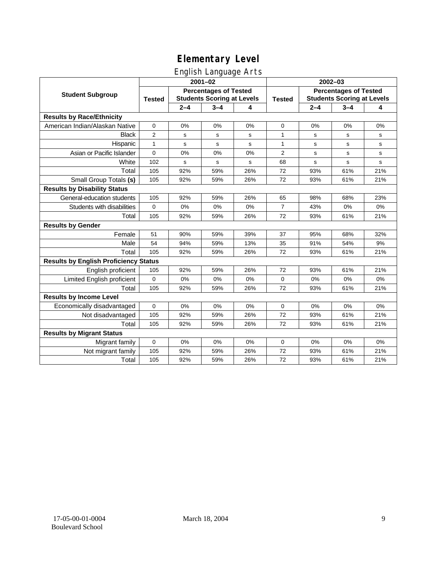### English Language Arts

|                                              | ◡<br>$2001 - 02$                                                                   |         |             |               | $2002 - 03$                                                       |             |         |           |
|----------------------------------------------|------------------------------------------------------------------------------------|---------|-------------|---------------|-------------------------------------------------------------------|-------------|---------|-----------|
| <b>Student Subgroup</b>                      | <b>Percentages of Tested</b><br><b>Students Scoring at Levels</b><br><b>Tested</b> |         |             | <b>Tested</b> | <b>Percentages of Tested</b><br><b>Students Scoring at Levels</b> |             |         |           |
|                                              |                                                                                    | $2 - 4$ | $3 - 4$     | 4             |                                                                   | $2 - 4$     | $3 - 4$ | 4         |
| <b>Results by Race/Ethnicity</b>             |                                                                                    |         |             |               |                                                                   |             |         |           |
| American Indian/Alaskan Native               | 0                                                                                  | 0%      | 0%          | 0%            | $\mathbf 0$                                                       | 0%          | 0%      | 0%        |
| <b>Black</b>                                 | $\overline{2}$                                                                     | s       | s           | s             | 1                                                                 | s           | s       | ${\tt s}$ |
| Hispanic                                     | $\mathbf{1}$                                                                       | s       | $\mathbf s$ | s             | $\mathbf{1}$                                                      | $\mathbf s$ | s       | ${\tt s}$ |
| Asian or Pacific Islander                    | 0                                                                                  | 0%      | 0%          | 0%            | 2                                                                 | s           | s       | ${\tt s}$ |
| White                                        | 102                                                                                | s       | s           | s             | 68                                                                | s           | s       | s         |
| Total                                        | 105                                                                                | 92%     | 59%         | 26%           | 72                                                                | 93%         | 61%     | 21%       |
| Small Group Totals (s)                       | 105                                                                                | 92%     | 59%         | 26%           | 72                                                                | 93%         | 61%     | 21%       |
| <b>Results by Disability Status</b>          |                                                                                    |         |             |               |                                                                   |             |         |           |
| General-education students                   | 105                                                                                | 92%     | 59%         | 26%           | 65                                                                | 98%         | 68%     | 23%       |
| Students with disabilities                   | 0                                                                                  | 0%      | 0%          | 0%            | $\overline{7}$                                                    | 43%         | 0%      | $0\%$     |
| Total                                        | 105                                                                                | 92%     | 59%         | 26%           | 72                                                                | 93%         | 61%     | 21%       |
| <b>Results by Gender</b>                     |                                                                                    |         |             |               |                                                                   |             |         |           |
| Female                                       | 51                                                                                 | 90%     | 59%         | 39%           | 37                                                                | 95%         | 68%     | 32%       |
| Male                                         | 54                                                                                 | 94%     | 59%         | 13%           | 35                                                                | 91%         | 54%     | 9%        |
| Total                                        | 105                                                                                | 92%     | 59%         | 26%           | 72                                                                | 93%         | 61%     | 21%       |
| <b>Results by English Proficiency Status</b> |                                                                                    |         |             |               |                                                                   |             |         |           |
| English proficient                           | 105                                                                                | 92%     | 59%         | 26%           | 72                                                                | 93%         | 61%     | 21%       |
| Limited English proficient                   | 0                                                                                  | 0%      | 0%          | 0%            | $\Omega$                                                          | 0%          | 0%      | 0%        |
| Total                                        | 105                                                                                | 92%     | 59%         | 26%           | 72                                                                | 93%         | 61%     | 21%       |
| <b>Results by Income Level</b>               |                                                                                    |         |             |               |                                                                   |             |         |           |
| Economically disadvantaged                   | $\Omega$                                                                           | 0%      | 0%          | 0%            | $\Omega$                                                          | 0%          | 0%      | 0%        |
| Not disadvantaged                            | 105                                                                                | 92%     | 59%         | 26%           | 72                                                                | 93%         | 61%     | 21%       |
| Total                                        | 105                                                                                | 92%     | 59%         | 26%           | 72                                                                | 93%         | 61%     | 21%       |
| <b>Results by Migrant Status</b>             |                                                                                    |         |             |               |                                                                   |             |         |           |
| Migrant family                               | $\mathbf 0$                                                                        | 0%      | 0%          | 0%            | $\mathbf 0$                                                       | 0%          | 0%      | 0%        |
| Not migrant family                           | 105                                                                                | 92%     | 59%         | 26%           | 72                                                                | 93%         | 61%     | 21%       |
| Total                                        | 105                                                                                | 92%     | 59%         | 26%           | 72                                                                | 93%         | 61%     | 21%       |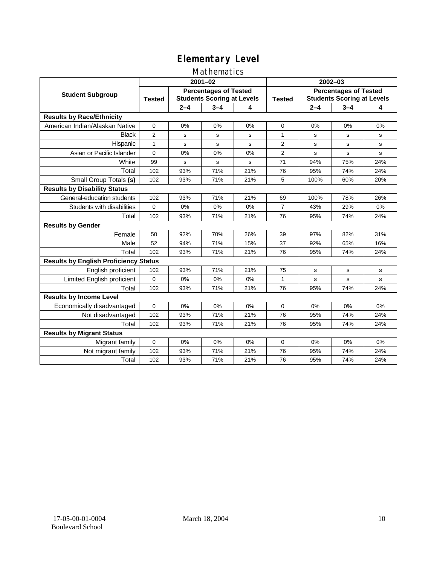### Mathematics

|                                              | $2001 - 02$                                                                        |         |             |               | $2002 - 03$                                                       |         |         |     |
|----------------------------------------------|------------------------------------------------------------------------------------|---------|-------------|---------------|-------------------------------------------------------------------|---------|---------|-----|
| <b>Student Subgroup</b>                      | <b>Percentages of Tested</b><br><b>Students Scoring at Levels</b><br><b>Tested</b> |         |             | <b>Tested</b> | <b>Percentages of Tested</b><br><b>Students Scoring at Levels</b> |         |         |     |
|                                              |                                                                                    | $2 - 4$ | $3 - 4$     | 4             |                                                                   | $2 - 4$ | $3 - 4$ | 4   |
| <b>Results by Race/Ethnicity</b>             |                                                                                    |         |             |               |                                                                   |         |         |     |
| American Indian/Alaskan Native               | $\mathbf 0$                                                                        | 0%      | 0%          | 0%            | $\mathbf 0$                                                       | 0%      | 0%      | 0%  |
| <b>Black</b>                                 | 2                                                                                  | s       | $\mathbf s$ | s             | 1                                                                 | s       | s       | s   |
| Hispanic                                     | $\mathbf{1}$                                                                       | s       | s           | s             | $\overline{2}$                                                    | s       | s       | s   |
| Asian or Pacific Islander                    | 0                                                                                  | 0%      | 0%          | 0%            | $\overline{2}$                                                    | s       | s       | s   |
| White                                        | 99                                                                                 | s       | ${\tt s}$   | s             | 71                                                                | 94%     | 75%     | 24% |
| Total                                        | 102                                                                                | 93%     | 71%         | 21%           | 76                                                                | 95%     | 74%     | 24% |
| Small Group Totals (s)                       | 102                                                                                | 93%     | 71%         | 21%           | 5                                                                 | 100%    | 60%     | 20% |
| <b>Results by Disability Status</b>          |                                                                                    |         |             |               |                                                                   |         |         |     |
| General-education students                   | 102                                                                                | 93%     | 71%         | 21%           | 69                                                                | 100%    | 78%     | 26% |
| Students with disabilities                   | $\mathbf 0$                                                                        | 0%      | 0%          | 0%            | $\overline{7}$                                                    | 43%     | 29%     | 0%  |
| Total                                        | 102                                                                                | 93%     | 71%         | 21%           | 76                                                                | 95%     | 74%     | 24% |
| <b>Results by Gender</b>                     |                                                                                    |         |             |               |                                                                   |         |         |     |
| Female                                       | 50                                                                                 | 92%     | 70%         | 26%           | 39                                                                | 97%     | 82%     | 31% |
| Male                                         | 52                                                                                 | 94%     | 71%         | 15%           | 37                                                                | 92%     | 65%     | 16% |
| Total                                        | 102                                                                                | 93%     | 71%         | 21%           | 76                                                                | 95%     | 74%     | 24% |
| <b>Results by English Proficiency Status</b> |                                                                                    |         |             |               |                                                                   |         |         |     |
| English proficient                           | 102                                                                                | 93%     | 71%         | 21%           | 75                                                                | s       | s       | s   |
| Limited English proficient                   | $\Omega$                                                                           | 0%      | 0%          | 0%            | 1                                                                 | s       | s       | s   |
| Total                                        | 102                                                                                | 93%     | 71%         | 21%           | 76                                                                | 95%     | 74%     | 24% |
| <b>Results by Income Level</b>               |                                                                                    |         |             |               |                                                                   |         |         |     |
| Economically disadvantaged                   | 0                                                                                  | 0%      | 0%          | 0%            | 0                                                                 | 0%      | 0%      | 0%  |
| Not disadvantaged                            | 102                                                                                | 93%     | 71%         | 21%           | 76                                                                | 95%     | 74%     | 24% |
| Total                                        | 102                                                                                | 93%     | 71%         | 21%           | 76                                                                | 95%     | 74%     | 24% |
| <b>Results by Migrant Status</b>             |                                                                                    |         |             |               |                                                                   |         |         |     |
| Migrant family                               | $\mathbf 0$                                                                        | 0%      | 0%          | 0%            | $\mathbf 0$                                                       | 0%      | 0%      | 0%  |
| Not migrant family                           | 102                                                                                | 93%     | 71%         | 21%           | 76                                                                | 95%     | 74%     | 24% |
| Total                                        | 102                                                                                | 93%     | 71%         | 21%           | 76                                                                | 95%     | 74%     | 24% |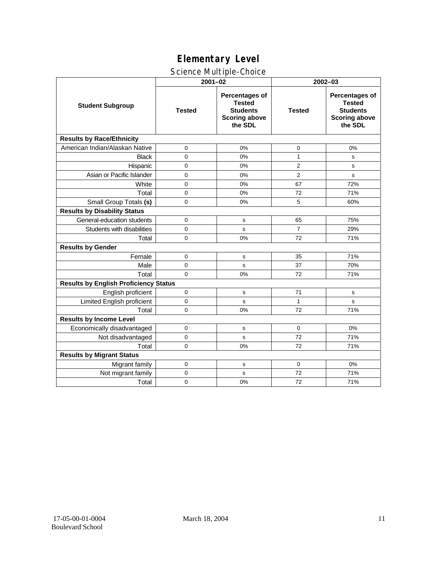### Science Multiple-Choice

|                                              |               | $2001 - 02$                                                                           | 2002-03        |                                                                                       |  |  |
|----------------------------------------------|---------------|---------------------------------------------------------------------------------------|----------------|---------------------------------------------------------------------------------------|--|--|
| <b>Student Subgroup</b>                      | <b>Tested</b> | Percentages of<br><b>Tested</b><br><b>Students</b><br><b>Scoring above</b><br>the SDL | <b>Tested</b>  | Percentages of<br><b>Tested</b><br><b>Students</b><br><b>Scoring above</b><br>the SDL |  |  |
| <b>Results by Race/Ethnicity</b>             |               |                                                                                       |                |                                                                                       |  |  |
| American Indian/Alaskan Native               | $\Omega$      | 0%                                                                                    | 0              | 0%                                                                                    |  |  |
| <b>Black</b>                                 | $\Omega$      | 0%                                                                                    | 1              | s                                                                                     |  |  |
| Hispanic                                     | 0             | 0%                                                                                    | 2              | s                                                                                     |  |  |
| Asian or Pacific Islander                    | $\mathbf 0$   | 0%                                                                                    | $\overline{2}$ | s                                                                                     |  |  |
| White                                        | $\mathbf 0$   | 0%                                                                                    | 67             | 72%                                                                                   |  |  |
| Total                                        | $\mathbf 0$   | 0%                                                                                    | 72             | 71%                                                                                   |  |  |
| Small Group Totals (s)                       | $\mathbf 0$   | 0%                                                                                    | 5              | 60%                                                                                   |  |  |
| <b>Results by Disability Status</b>          |               |                                                                                       |                |                                                                                       |  |  |
| General-education students                   | $\Omega$      | s                                                                                     | 65             | 75%                                                                                   |  |  |
| Students with disabilities                   | 0             | s                                                                                     | $\overline{7}$ | 29%                                                                                   |  |  |
| Total                                        | $\Omega$      | 0%                                                                                    | 72             | 71%                                                                                   |  |  |
| <b>Results by Gender</b>                     |               |                                                                                       |                |                                                                                       |  |  |
| Female                                       | 0             | s                                                                                     | 35             | 71%                                                                                   |  |  |
| Male                                         | 0             | s                                                                                     | 37             | 70%                                                                                   |  |  |
| Total                                        | $\Omega$      | 0%                                                                                    | 72             | 71%                                                                                   |  |  |
| <b>Results by English Proficiency Status</b> |               |                                                                                       |                |                                                                                       |  |  |
| English proficient                           | $\mathbf 0$   | s                                                                                     | 71             | s                                                                                     |  |  |
| Limited English proficient                   | 0             | s                                                                                     | $\mathbf{1}$   | s                                                                                     |  |  |
| Total                                        | $\Omega$      | 0%                                                                                    | 72             | 71%                                                                                   |  |  |
| <b>Results by Income Level</b>               |               |                                                                                       |                |                                                                                       |  |  |
| Economically disadvantaged                   | 0             | s                                                                                     | 0              | 0%                                                                                    |  |  |
| Not disadvantaged                            | $\mathbf 0$   | s                                                                                     | 72             | 71%                                                                                   |  |  |
| Total                                        | $\Omega$      | 0%                                                                                    | 72             | 71%                                                                                   |  |  |
| <b>Results by Migrant Status</b>             |               |                                                                                       |                |                                                                                       |  |  |
| Migrant family                               | $\mathbf 0$   | s                                                                                     | 0              | 0%                                                                                    |  |  |
| Not migrant family                           | 0             | s                                                                                     | 72             | 71%                                                                                   |  |  |
| Total                                        | $\pmb{0}$     | 0%                                                                                    | 72             | 71%                                                                                   |  |  |